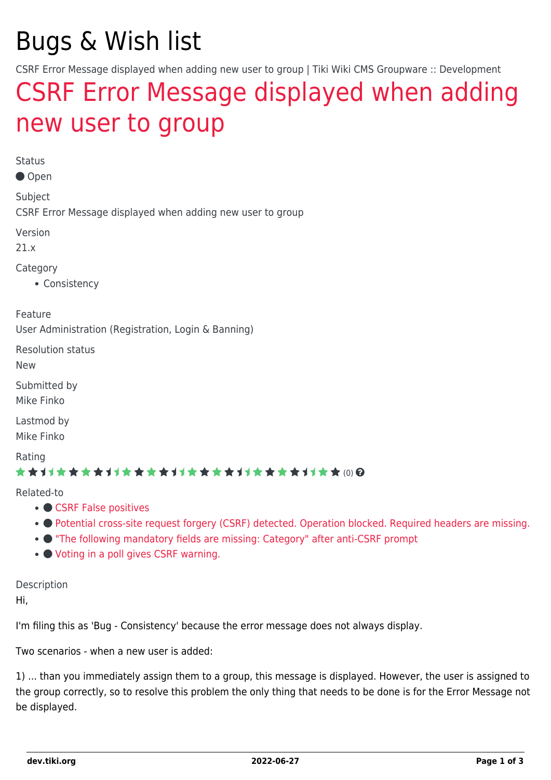# Bugs & Wish list

CSRF Error Message displayed when adding new user to group | Tiki Wiki CMS Groupware :: Development

## [CSRF Error Message displayed when adding](https://dev.tiki.org/item7604-CSRF-Error-Message-displayed-when-adding-new-user-to-group) [new user to group](https://dev.tiki.org/item7604-CSRF-Error-Message-displayed-when-adding-new-user-to-group)

Status

Open

Subject

CSRF Error Message displayed when adding new user to group

Version

21.x

Category

• Consistency

Feature

User Administration (Registration, Login & Banning)

Resolution status

New

Submitted by Mike Finko

Lastmod by Mike Finko

Rating

#### \*\*\*\*\*\*\*\*\*\*\*\*\*\*\*\*\*\*\*\*\*\*\*\*\*\*\*\*\*\*

Related-to

- [CSRF False positives](https://dev.tiki.org/item7133-CSRF-False-positives)
- [Potential cross-site request forgery \(CSRF\) detected. Operation blocked. Required headers are missing.](https://dev.tiki.org/item7633-Potential-cross-site-request-forgery-CSRF-detected-Operation-blocked-Required-headers-are-missing)
- ["The following mandatory fields are missing: Category" after anti-CSRF prompt](https://dev.tiki.org/item6926--The-following-mandatory-fields-are-missing-Category-after-anti-CSRF-prompt)
- [Voting in a poll gives CSRF warning.](https://dev.tiki.org/item7350-Voting-in-a-poll-gives-CSRF-warning)

Description

Hi,

I'm filing this as 'Bug - Consistency' because the error message does not always display.

Two scenarios - when a new user is added:

1) ... than you immediately assign them to a group, this message is displayed. However, the user is assigned to the group correctly, so to resolve this problem the only thing that needs to be done is for the Error Message not be displayed.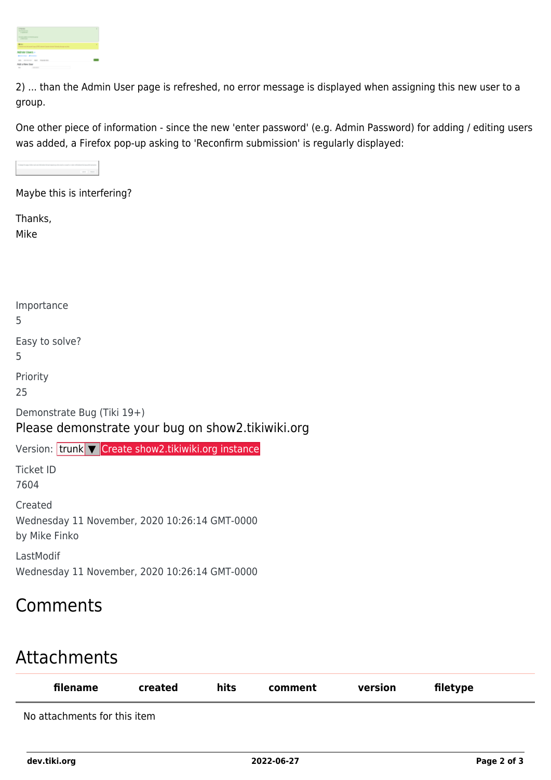2) ... than the Admin User page is refreshed, no error message is displayed when assigning this new user to a group.

One other piece of information - since the new 'enter password' (e.g. Admin Password) for adding / editing users was added, a Firefox pop-up asking to 'Reconfirm submission' is regularly displayed:

Maybe this is interfering?

Thanks, Mike

| Importance<br>5                                                                 |
|---------------------------------------------------------------------------------|
| Easy to solve?<br>5                                                             |
| Priority<br>25                                                                  |
| Demonstrate Bug (Tiki 19+)<br>Please demonstrate your bug on show2.tikiwiki.org |
| Version: trunk V Create show2.tikiwiki.org instance                             |
| Ticket ID                                                                       |
|                                                                                 |

7604

Created Wednesday 11 November, 2020 10:26:14 GMT-0000 by Mike Finko

LastModif Wednesday 11 November, 2020 10:26:14 GMT-0000

### Comments

## Attachments

| filename                     | created | hits | comment | version | filetype |
|------------------------------|---------|------|---------|---------|----------|
| No attachments for this item |         |      |         |         |          |